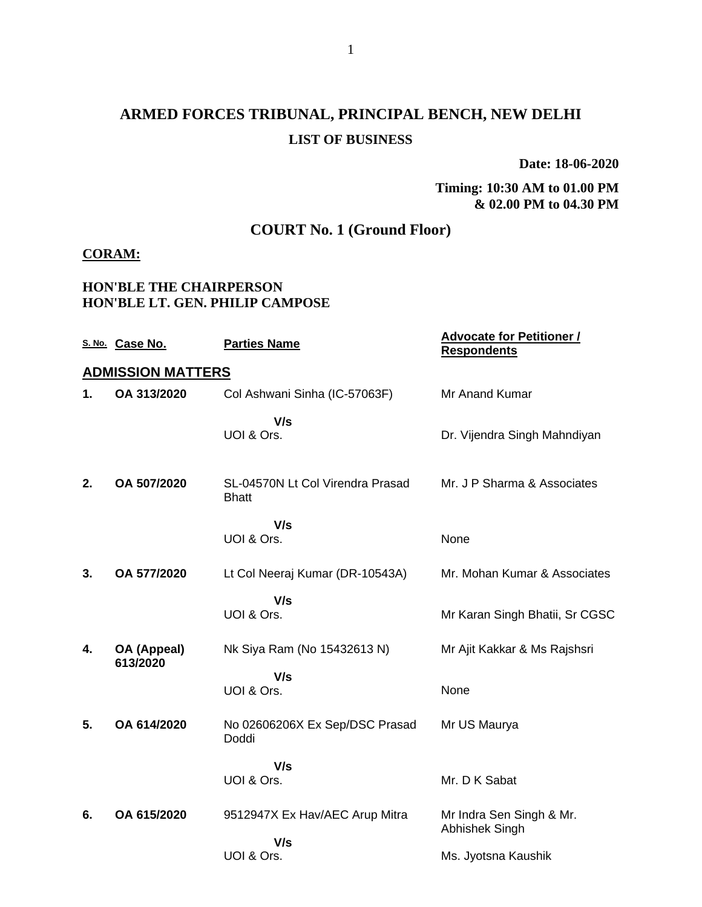## **ARMED FORCES TRIBUNAL, PRINCIPAL BENCH, NEW DELHI LIST OF BUSINESS**

**Date: 18-06-2020**

#### **Timing: 10:30 AM to 01.00 PM & 02.00 PM to 04.30 PM**

### **COURT No. 1 (Ground Floor)**

#### **CORAM:**

#### **HON'BLE THE CHAIRPERSON HON'BLE LT. GEN. PHILIP CAMPOSE**

|    | S. No. Case No.          | <b>Parties Name</b>                              | <b>Advocate for Petitioner /</b><br><b>Respondents</b> |
|----|--------------------------|--------------------------------------------------|--------------------------------------------------------|
|    | <b>ADMISSION MATTERS</b> |                                                  |                                                        |
| 1. | OA 313/2020              | Col Ashwani Sinha (IC-57063F)                    | <b>Mr Anand Kumar</b>                                  |
|    |                          | V/s<br>UOI & Ors.                                | Dr. Vijendra Singh Mahndiyan                           |
| 2. | OA 507/2020              | SL-04570N Lt Col Virendra Prasad<br><b>Bhatt</b> | Mr. J P Sharma & Associates                            |
|    |                          | V/s<br>UOI & Ors.                                | None                                                   |
| 3. | OA 577/2020              | Lt Col Neeraj Kumar (DR-10543A)                  | Mr. Mohan Kumar & Associates                           |
|    |                          | V/s<br>UOI & Ors.                                | Mr Karan Singh Bhatii, Sr CGSC                         |
| 4. | OA (Appeal)<br>613/2020  | Nk Siya Ram (No 15432613 N)                      | Mr Ajit Kakkar & Ms Rajshsri                           |
|    |                          | V/s<br>UOI & Ors.                                | None                                                   |
| 5. | OA 614/2020              | No 02606206X Ex Sep/DSC Prasad<br>Doddi          | Mr US Maurya                                           |
|    |                          | V/s<br>UOI & Ors.                                | Mr. D K Sabat                                          |
| 6. | OA 615/2020              | 9512947X Ex Hav/AEC Arup Mitra<br>V/s            | Mr Indra Sen Singh & Mr.<br>Abhishek Singh             |
|    |                          | UOI & Ors.                                       | Ms. Jyotsna Kaushik                                    |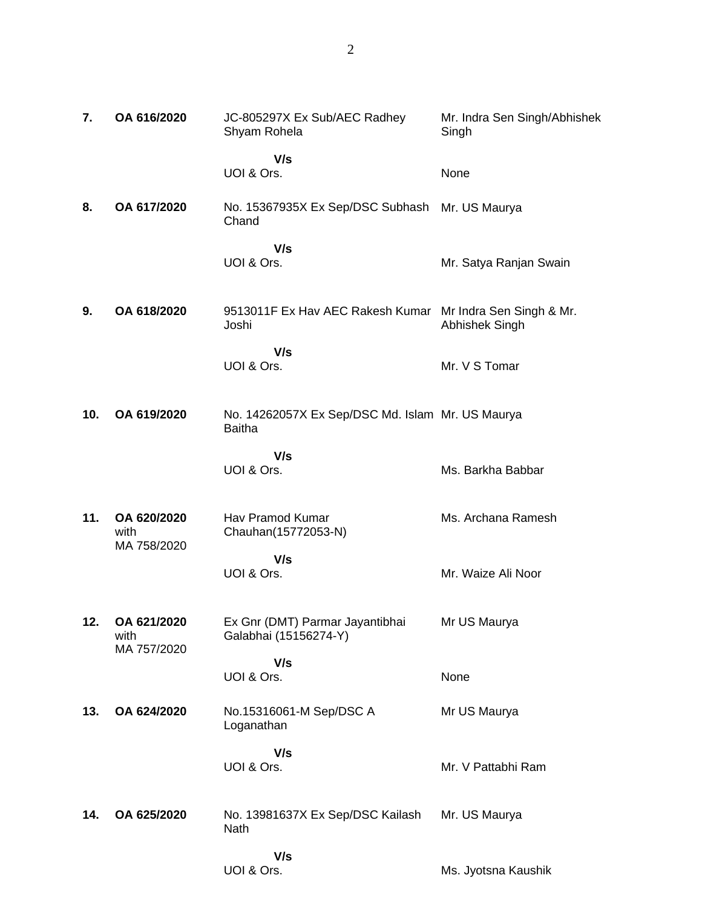| 7.  | OA 616/2020                        | JC-805297X Ex Sub/AEC Radhey<br>Shyam Rohela                      | Mr. Indra Sen Singh/Abhishek<br>Singh      |
|-----|------------------------------------|-------------------------------------------------------------------|--------------------------------------------|
|     |                                    | V/s<br>UOI & Ors.                                                 | None                                       |
| 8.  | OA 617/2020                        | No. 15367935X Ex Sep/DSC Subhash<br>Chand                         | Mr. US Maurya                              |
|     |                                    | V/s<br>UOI & Ors.                                                 | Mr. Satya Ranjan Swain                     |
| 9.  | OA 618/2020                        | 9513011F Ex Hav AEC Rakesh Kumar<br>Joshi                         | Mr Indra Sen Singh & Mr.<br>Abhishek Singh |
|     |                                    | V/s<br>UOI & Ors.                                                 | Mr. V S Tomar                              |
| 10. | OA 619/2020                        | No. 14262057X Ex Sep/DSC Md. Islam Mr. US Maurya<br><b>Baitha</b> |                                            |
|     |                                    | V/s<br>UOI & Ors.                                                 | Ms. Barkha Babbar                          |
| 11. | OA 620/2020<br>with<br>MA 758/2020 | Hav Pramod Kumar<br>Chauhan(15772053-N)                           | Ms. Archana Ramesh                         |
|     |                                    | V/s<br>UOI & Ors.                                                 | Mr. Waize Ali Noor                         |
| 12. | OA 621/2020<br>with<br>MA 757/2020 | Ex Gnr (DMT) Parmar Jayantibhai<br>Galabhai (15156274-Y)          | Mr US Maurya                               |
|     |                                    | V/s<br>UOI & Ors.                                                 | None                                       |
| 13. | OA 624/2020                        | No.15316061-M Sep/DSC A<br>Loganathan                             | Mr US Maurya                               |
|     |                                    | V/s<br>UOI & Ors.                                                 | Mr. V Pattabhi Ram                         |
| 14. | OA 625/2020                        | No. 13981637X Ex Sep/DSC Kailash<br>Nath                          | Mr. US Maurya                              |
|     |                                    | V/s<br>UOI & Ors.                                                 | Ms. Jyotsna Kaushik                        |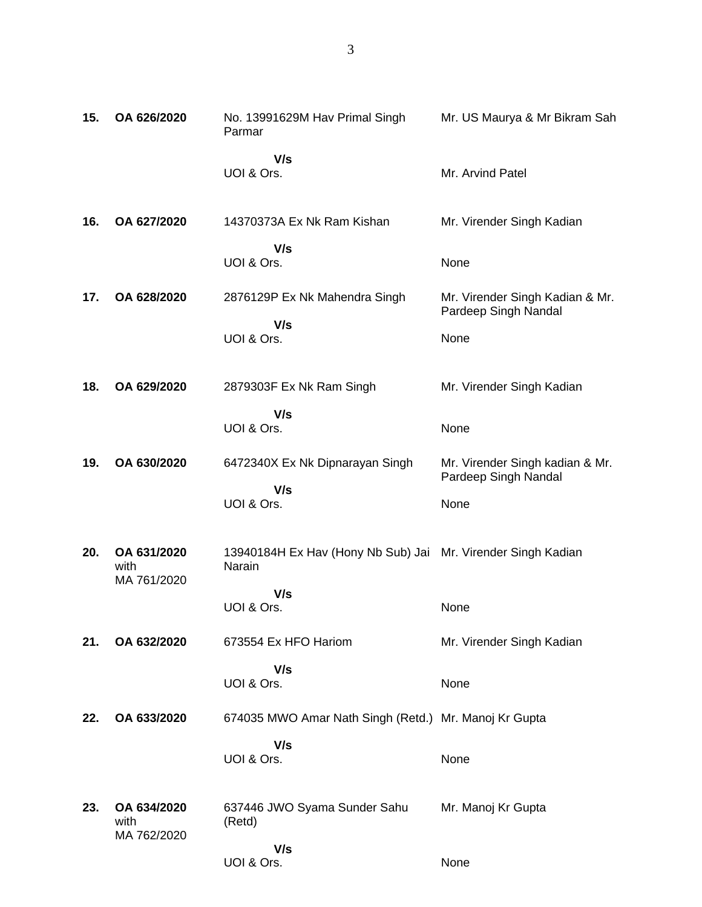| 15. | OA 626/2020                        | No. 13991629M Hav Primal Singh<br>Parmar                               | Mr. US Maurya & Mr Bikram Sah                           |
|-----|------------------------------------|------------------------------------------------------------------------|---------------------------------------------------------|
|     |                                    | V/s<br>UOI & Ors.                                                      | Mr. Arvind Patel                                        |
| 16. | OA 627/2020                        | 14370373A Ex Nk Ram Kishan                                             | Mr. Virender Singh Kadian                               |
|     |                                    | V/s<br>UOI & Ors.                                                      | None                                                    |
| 17. | OA 628/2020                        | 2876129P Ex Nk Mahendra Singh                                          | Mr. Virender Singh Kadian & Mr.<br>Pardeep Singh Nandal |
|     |                                    | V/s<br>UOI & Ors.                                                      | None                                                    |
| 18. | OA 629/2020                        | 2879303F Ex Nk Ram Singh                                               | Mr. Virender Singh Kadian                               |
|     |                                    | V/s<br>UOI & Ors.                                                      | None                                                    |
| 19. | OA 630/2020                        | 6472340X Ex Nk Dipnarayan Singh                                        | Mr. Virender Singh kadian & Mr.<br>Pardeep Singh Nandal |
|     |                                    | V/s<br>UOI & Ors.                                                      | None                                                    |
| 20. | OA 631/2020<br>with<br>MA 761/2020 | 13940184H Ex Hav (Hony Nb Sub) Jai Mr. Virender Singh Kadian<br>Narain |                                                         |
|     |                                    | V/s<br>UOI & Ors.                                                      | None                                                    |
| 21. | OA 632/2020                        | 673554 Ex HFO Hariom                                                   | Mr. Virender Singh Kadian                               |
|     |                                    | V/s<br>UOI & Ors.                                                      | None                                                    |
| 22. | OA 633/2020                        | 674035 MWO Amar Nath Singh (Retd.) Mr. Manoj Kr Gupta                  |                                                         |
|     |                                    | V/s<br>UOI & Ors.                                                      | None                                                    |
| 23. | OA 634/2020<br>with<br>MA 762/2020 | 637446 JWO Syama Sunder Sahu<br>(Retd)                                 | Mr. Manoj Kr Gupta                                      |
|     |                                    | V/s<br>UOI & Ors.                                                      | None                                                    |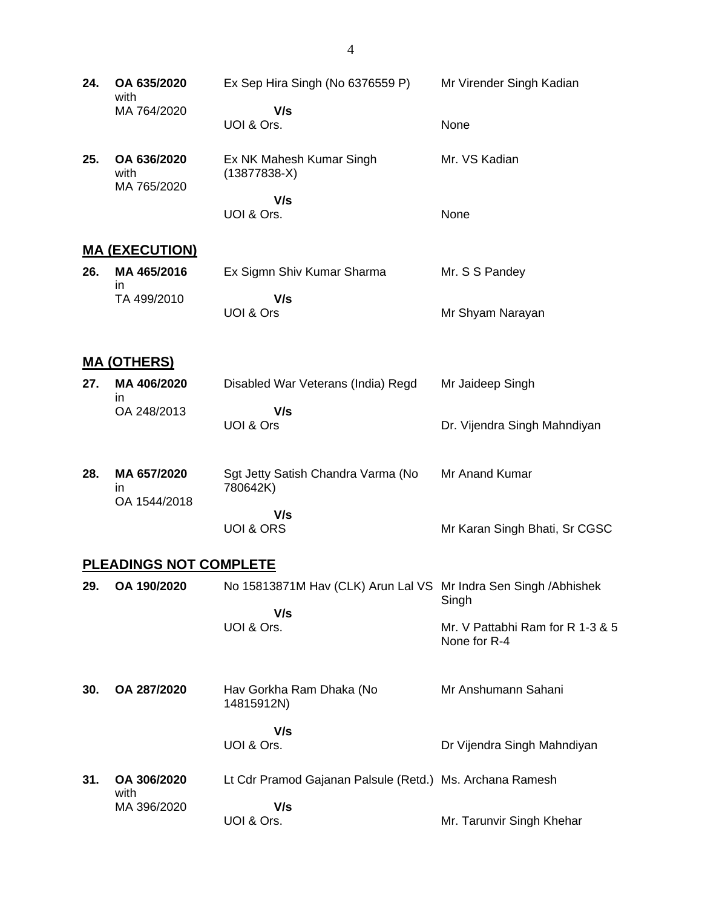| 24. | OA 635/2020<br>with                | Ex Sep Hira Singh (No 6376559 P)                                 | Mr Virender Singh Kadian                         |
|-----|------------------------------------|------------------------------------------------------------------|--------------------------------------------------|
|     | MA 764/2020                        | V/s<br>UOI & Ors.                                                | None                                             |
| 25. | OA 636/2020<br>with<br>MA 765/2020 | Ex NK Mahesh Kumar Singh<br>$(13877838-X)$                       | Mr. VS Kadian                                    |
|     |                                    | V/s<br>UOI & Ors.                                                | None                                             |
|     | <b>MA (EXECUTION)</b>              |                                                                  |                                                  |
| 26. | MA 465/2016<br>in                  | Ex Sigmn Shiv Kumar Sharma                                       | Mr. S S Pandey                                   |
|     | TA 499/2010                        | V/s<br>UOI & Ors                                                 | Mr Shyam Narayan                                 |
|     | <b>MA (OTHERS)</b>                 |                                                                  |                                                  |
| 27. | MA 406/2020                        | Disabled War Veterans (India) Regd                               | Mr Jaideep Singh                                 |
|     | in.<br>OA 248/2013                 | V/s<br>UOI & Ors                                                 | Dr. Vijendra Singh Mahndiyan                     |
| 28. | MA 657/2020<br>in.<br>OA 1544/2018 | Sgt Jetty Satish Chandra Varma (No<br>780642K)                   | Mr Anand Kumar                                   |
|     |                                    | V/s<br><b>UOI &amp; ORS</b>                                      | Mr Karan Singh Bhati, Sr CGSC                    |
|     | <b>PLEADINGS NOT COMPLETE</b>      |                                                                  |                                                  |
| 29. | OA 190/2020                        | No 15813871M Hav (CLK) Arun Lal VS Mr Indra Sen Singh / Abhishek | Singh                                            |
|     |                                    | V/s<br>UOI & Ors.                                                | Mr. V Pattabhi Ram for R 1-3 & 5<br>None for R-4 |
| 30. | OA 287/2020                        | Hav Gorkha Ram Dhaka (No<br>14815912N)                           | Mr Anshumann Sahani                              |
|     |                                    | V/s                                                              |                                                  |
|     |                                    | UOI & Ors.                                                       | Dr Vijendra Singh Mahndiyan                      |
| 31. | OA 306/2020<br>with                | Lt Cdr Pramod Gajanan Palsule (Retd.) Ms. Archana Ramesh         |                                                  |
|     | MA 396/2020                        | V/s<br>UOI & Ors.                                                | Mr. Tarunvir Singh Khehar                        |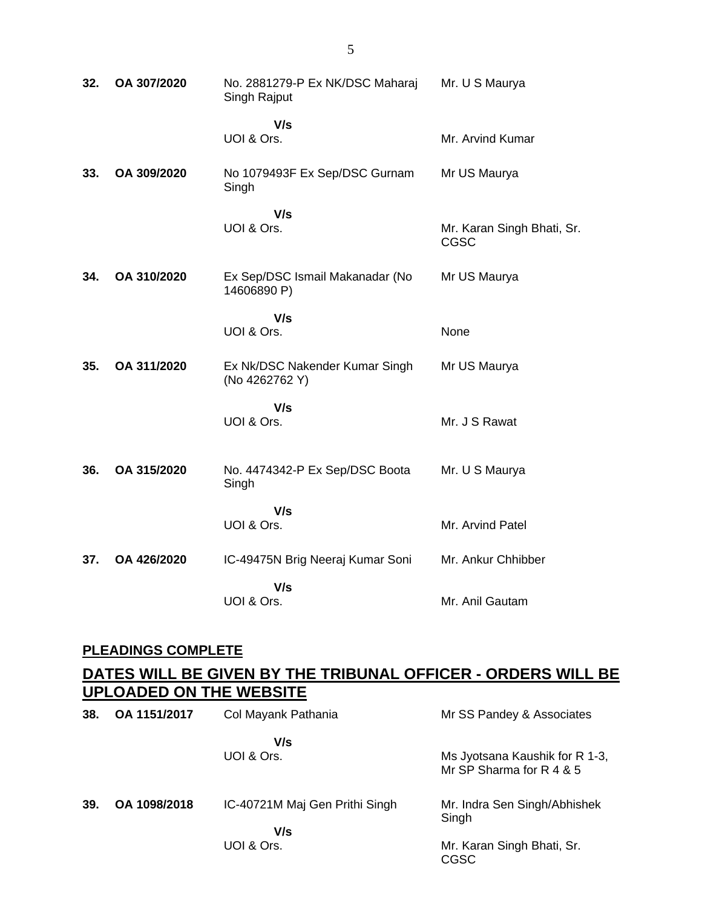| 32. | OA 307/2020 | No. 2881279-P Ex NK/DSC Maharaj<br>Singh Rajput  | Mr. U S Maurya                            |
|-----|-------------|--------------------------------------------------|-------------------------------------------|
|     |             | V/s<br>UOI & Ors.                                | Mr. Arvind Kumar                          |
| 33. | OA 309/2020 | No 1079493F Ex Sep/DSC Gurnam<br>Singh           | Mr US Maurya                              |
|     |             | V/s<br>UOI & Ors.                                | Mr. Karan Singh Bhati, Sr.<br><b>CGSC</b> |
| 34. | OA 310/2020 | Ex Sep/DSC Ismail Makanadar (No<br>14606890 P)   | Mr US Maurya                              |
|     |             | V/s<br>UOI & Ors.                                | None                                      |
| 35. | OA 311/2020 | Ex Nk/DSC Nakender Kumar Singh<br>(No 4262762 Y) | Mr US Maurya                              |
|     |             | V/s<br>UOI & Ors.                                | Mr. J S Rawat                             |
| 36. | OA 315/2020 | No. 4474342-P Ex Sep/DSC Boota<br>Singh          | Mr. U S Maurya                            |
|     |             | V/s<br>UOI & Ors.                                | Mr. Arvind Patel                          |
| 37. | OA 426/2020 | IC-49475N Brig Neeraj Kumar Soni                 | Mr. Ankur Chhibber                        |
|     |             | V/s<br>UOI & Ors.                                | Mr. Anil Gautam                           |

### **PLEADINGS COMPLETE**

### **DATES WILL BE GIVEN BY THE TRIBUNAL OFFICER - ORDERS WILL BE UPLOADED ON THE WEBSITE**

| 38. | OA 1151/2017 | Col Mayank Pathania                   | Mr SS Pandey & Associates                                  |
|-----|--------------|---------------------------------------|------------------------------------------------------------|
|     |              | V/s<br>UOI & Ors.                     | Ms Jyotsana Kaushik for R 1-3,<br>Mr SP Sharma for R 4 & 5 |
| 39. | OA 1098/2018 | IC-40721M Maj Gen Prithi Singh<br>V/s | Mr. Indra Sen Singh/Abhishek<br>Singh                      |
|     |              | UOI & Ors.                            | Mr. Karan Singh Bhati, Sr.<br><b>CGSC</b>                  |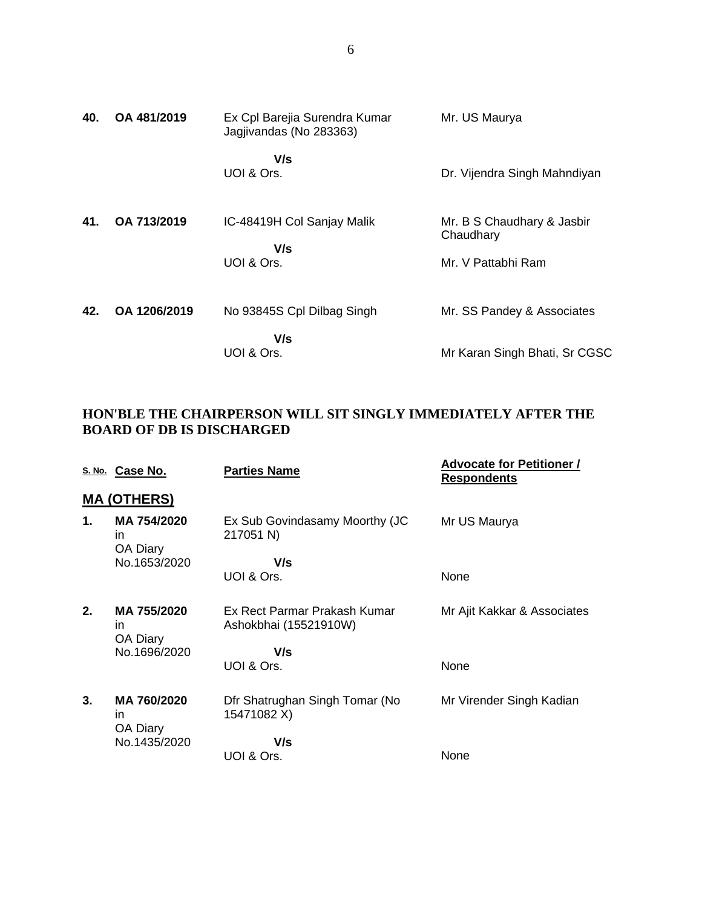| 40. | OA 481/2019  | Ex Cpl Barejia Surendra Kumar<br>Jagjivandas (No 283363) | Mr. US Maurya                           |
|-----|--------------|----------------------------------------------------------|-----------------------------------------|
|     |              | V/s<br>UOI & Ors.                                        | Dr. Vijendra Singh Mahndiyan            |
| 41. | OA 713/2019  | IC-48419H Col Sanjay Malik<br>V/s                        | Mr. B S Chaudhary & Jasbir<br>Chaudhary |
|     |              | UOI & Ors.                                               | Mr. V Pattabhi Ram                      |
| 42. | OA 1206/2019 | No 93845S Cpl Dilbag Singh                               | Mr. SS Pandey & Associates              |
|     |              | V/s<br>UOI & Ors.                                        | Mr Karan Singh Bhati, Sr CGSC           |

#### **HON'BLE THE CHAIRPERSON WILL SIT SINGLY IMMEDIATELY AFTER THE BOARD OF DB IS DISCHARGED**

|    | S. No. Case No.               | <b>Parties Name</b>                                   | <b>Advocate for Petitioner /</b><br><b>Respondents</b> |
|----|-------------------------------|-------------------------------------------------------|--------------------------------------------------------|
|    | <b>MA (OTHERS)</b>            |                                                       |                                                        |
| 1. | MA 754/2020<br>in<br>OA Diary | Ex Sub Govindasamy Moorthy (JC<br>217051 N)           | Mr US Maurya                                           |
|    | No.1653/2020                  | V/s                                                   |                                                        |
|    |                               | UOI & Ors.                                            | None                                                   |
| 2. | MA 755/2020<br>in<br>OA Diary | Ex Rect Parmar Prakash Kumar<br>Ashokbhai (15521910W) | Mr Ajit Kakkar & Associates                            |
|    | No.1696/2020                  | V/s                                                   |                                                        |
|    |                               | UOI & Ors.                                            | None                                                   |
| 3. | MA 760/2020<br>in<br>OA Diary | Dfr Shatrughan Singh Tomar (No<br>15471082 X)         | Mr Virender Singh Kadian                               |
|    | No.1435/2020                  | V/s                                                   |                                                        |
|    |                               | UOI & Ors.                                            | None                                                   |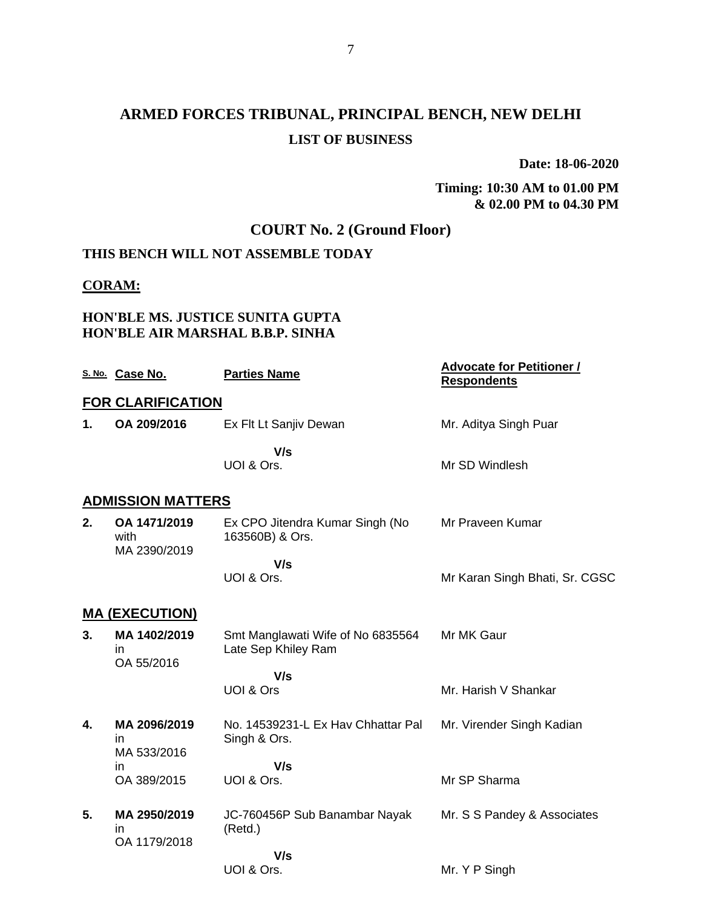## **ARMED FORCES TRIBUNAL, PRINCIPAL BENCH, NEW DELHI LIST OF BUSINESS**

**Date: 18-06-2020**

**Timing: 10:30 AM to 01.00 PM & 02.00 PM to 04.30 PM**

### **COURT No. 2 (Ground Floor)**

### **THIS BENCH WILL NOT ASSEMBLE TODAY**

#### **CORAM:**

#### **HON'BLE MS. JUSTICE SUNITA GUPTA HON'BLE AIR MARSHAL B.B.P. SINHA**

|               | S. No. Case No.                      | <b>Parties Name</b>                                      | <b>Advocate for Petitioner /</b><br><b>Respondents</b> |
|---------------|--------------------------------------|----------------------------------------------------------|--------------------------------------------------------|
|               | <b>FOR CLARIFICATION</b>             |                                                          |                                                        |
| $\mathbf 1$ . | OA 209/2016                          | Ex Flt Lt Sanjiv Dewan                                   | Mr. Aditya Singh Puar                                  |
|               |                                      | V/s<br>UOI & Ors.                                        | Mr SD Windlesh                                         |
|               | <b>ADMISSION MATTERS</b>             |                                                          |                                                        |
| 2.            | OA 1471/2019<br>with<br>MA 2390/2019 | Ex CPO Jitendra Kumar Singh (No<br>163560B) & Ors.       | Mr Praveen Kumar                                       |
|               |                                      | V/s                                                      |                                                        |
|               |                                      | UOI & Ors.                                               | Mr Karan Singh Bhati, Sr. CGSC                         |
|               | <b>MA (EXECUTION)</b>                |                                                          |                                                        |
| 3.            | MA 1402/2019<br>in.<br>OA 55/2016    | Smt Manglawati Wife of No 6835564<br>Late Sep Khiley Ram | Mr MK Gaur                                             |
|               |                                      | V/s                                                      |                                                        |
|               |                                      | UOI & Ors                                                | Mr. Harish V Shankar                                   |
| 4.            | MA 2096/2019<br>in.<br>MA 533/2016   | No. 14539231-L Ex Hay Chhattar Pal<br>Singh & Ors.       | Mr. Virender Singh Kadian                              |
|               | in.                                  | V/s                                                      |                                                        |
|               | OA 389/2015                          | UOI & Ors.                                               | Mr SP Sharma                                           |
| 5.            | MA 2950/2019<br>in<br>OA 1179/2018   | JC-760456P Sub Banambar Nayak<br>(Retd.)                 | Mr. S S Pandey & Associates                            |
|               |                                      | V/s                                                      |                                                        |
|               |                                      | UOI & Ors.                                               | Mr. Y P Singh                                          |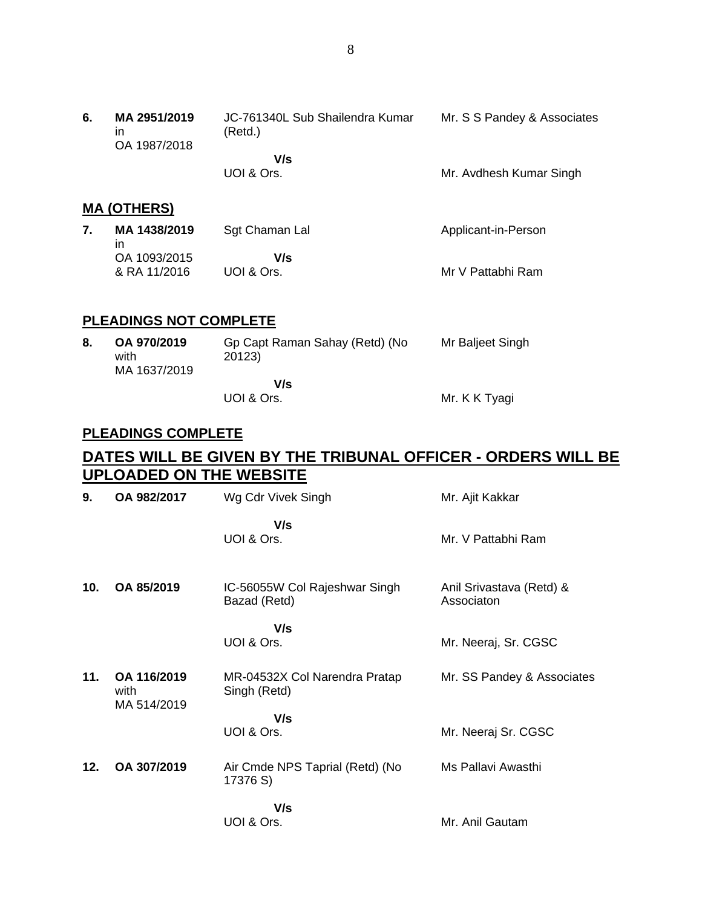#### **MA (OTHERS)**

| MA 1438/2019 | Sgt Chaman Lal | Applicant-in-Person |
|--------------|----------------|---------------------|
| ın           |                |                     |
| OA 1093/2015 | V/s            |                     |
| & RA 11/2016 | UOI & Ors.     | Mr V Pattabhi Ram   |

#### **PLEADINGS NOT COMPLETE**

| 8. | OA 970/2019<br>with<br>MA 1637/2019 | Gp Capt Raman Sahay (Retd) (No<br>20123) | Mr Baljeet Singh |
|----|-------------------------------------|------------------------------------------|------------------|
|    |                                     | V/s                                      |                  |
|    |                                     | UOI & Ors.                               | Mr. K K Tyagi    |

#### **PLEADINGS COMPLETE**

### **DATES WILL BE GIVEN BY THE TRIBUNAL OFFICER - ORDERS WILL BE UPLOADED ON THE WEBSITE**

| 9.  | OA 982/2017                        | Wg Cdr Vivek Singh                            | Mr. Ajit Kakkar                        |
|-----|------------------------------------|-----------------------------------------------|----------------------------------------|
|     |                                    | V/s<br>UOI & Ors.                             | Mr. V Pattabhi Ram                     |
| 10. | OA 85/2019                         | IC-56055W Col Rajeshwar Singh<br>Bazad (Retd) | Anil Srivastava (Retd) &<br>Associaton |
|     |                                    | V/s<br>UOI & Ors.                             | Mr. Neeraj, Sr. CGSC                   |
| 11. | OA 116/2019<br>with<br>MA 514/2019 | MR-04532X Col Narendra Pratap<br>Singh (Retd) | Mr. SS Pandey & Associates             |
|     |                                    | V/s                                           |                                        |
|     |                                    | UOI & Ors.                                    | Mr. Neeraj Sr. CGSC                    |
| 12. | OA 307/2019                        | Air Cmde NPS Taprial (Retd) (No<br>17376 S)   | Ms Pallavi Awasthi                     |
|     |                                    | V/s                                           |                                        |
|     |                                    | UOI & Ors.                                    | Mr. Anil Gautam                        |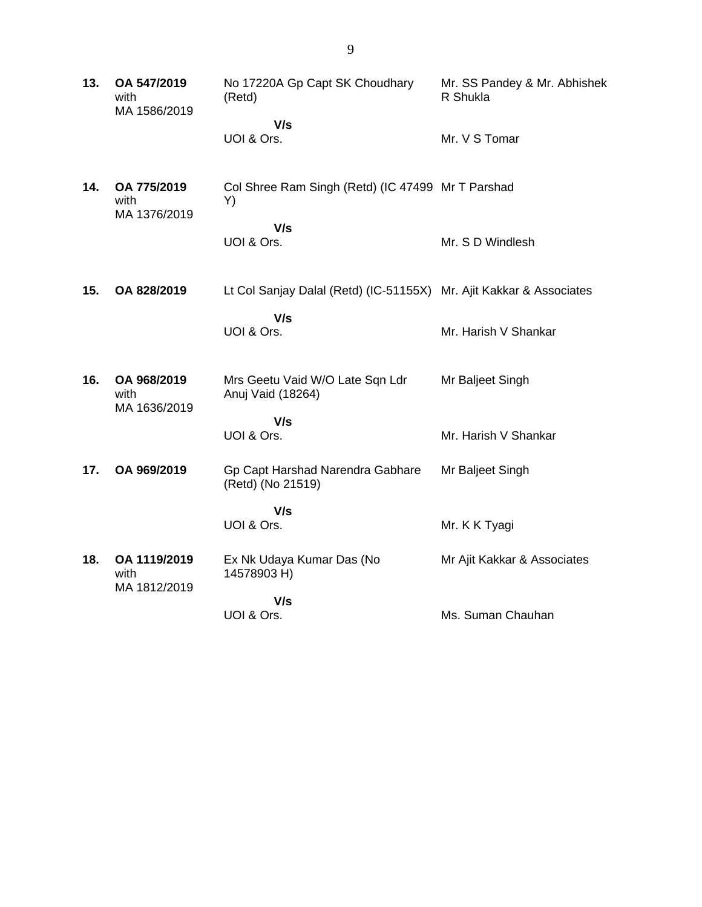| 13. | OA 547/2019<br>with<br>MA 1586/2019  | No 17220A Gp Capt SK Choudhary<br>(Retd)<br>V/s<br>UOI & Ors.       | Mr. SS Pandey & Mr. Abhishek<br>R Shukla<br>Mr. V S Tomar |
|-----|--------------------------------------|---------------------------------------------------------------------|-----------------------------------------------------------|
| 14. | OA 775/2019<br>with<br>MA 1376/2019  | Col Shree Ram Singh (Retd) (IC 47499 Mr T Parshad<br>Y)             |                                                           |
|     |                                      | V/s<br>UOI & Ors.                                                   | Mr. S D Windlesh                                          |
| 15. | OA 828/2019                          | Lt Col Sanjay Dalal (Retd) (IC-51155X) Mr. Ajit Kakkar & Associates |                                                           |
|     |                                      | V/s<br>UOI & Ors.                                                   | Mr. Harish V Shankar                                      |
| 16. | OA 968/2019<br>with<br>MA 1636/2019  | Mrs Geetu Vaid W/O Late Sqn Ldr<br>Anuj Vaid (18264)                | Mr Baljeet Singh                                          |
|     |                                      | V/s<br>UOI & Ors.                                                   | Mr. Harish V Shankar                                      |
| 17. | OA 969/2019                          | Gp Capt Harshad Narendra Gabhare<br>(Retd) (No 21519)               | Mr Baljeet Singh                                          |
|     |                                      | V/s<br>UOI & Ors.                                                   | Mr. K K Tyagi                                             |
| 18. | OA 1119/2019<br>with<br>MA 1812/2019 | Ex Nk Udaya Kumar Das (No<br>14578903 H)                            | Mr Ajit Kakkar & Associates                               |
|     |                                      | V/s<br>UOI & Ors.                                                   | Ms. Suman Chauhan                                         |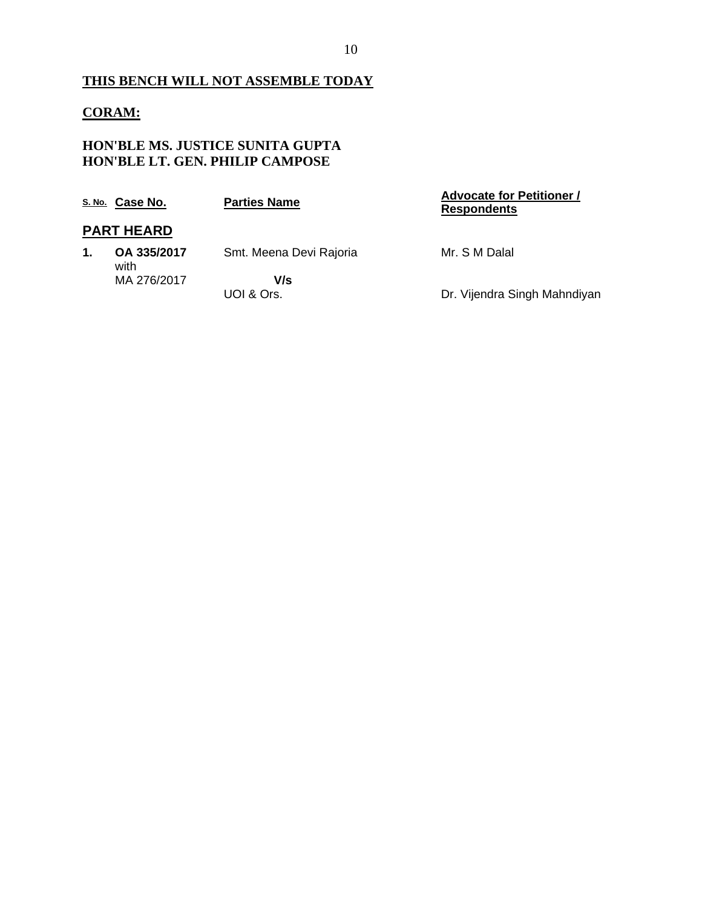### **THIS BENCH WILL NOT ASSEMBLE TODAY**

#### **CORAM:**

#### **HON'BLE MS. JUSTICE SUNITA GUPTA HON'BLE LT. GEN. PHILIP CAMPOSE**

|    | S. No. Case No.     | <b>Parties Name</b>     | <b>Advocate for Petitioner /</b><br><b>Respondents</b> |
|----|---------------------|-------------------------|--------------------------------------------------------|
|    | <b>PART HEARD</b>   |                         |                                                        |
| 1. | OA 335/2017<br>with | Smt. Meena Devi Rajoria | Mr. S M Dalal                                          |
|    | MA 276/2017         | V/s<br>UOI & Ors.       | Dr. Vijendra Singh Mahndiyan                           |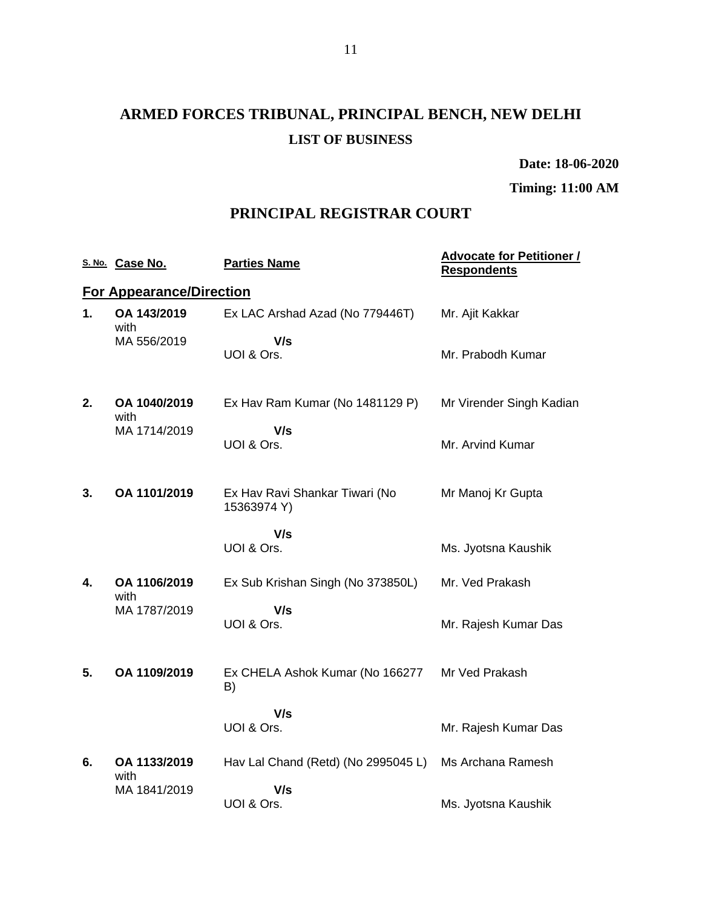# **ARMED FORCES TRIBUNAL, PRINCIPAL BENCH, NEW DELHI LIST OF BUSINESS**

**Date: 18-06-2020**

**Timing: 11:00 AM**

### **PRINCIPAL REGISTRAR COURT**

|    | S. No. Case No.                 | <b>Parties Name</b>                           | <b>Advocate for Petitioner /</b><br><b>Respondents</b> |
|----|---------------------------------|-----------------------------------------------|--------------------------------------------------------|
|    | <b>For Appearance/Direction</b> |                                               |                                                        |
| 1. | OA 143/2019<br>with             | Ex LAC Arshad Azad (No 779446T)               | Mr. Ajit Kakkar                                        |
|    | MA 556/2019                     | V/s<br>UOI & Ors.                             | Mr. Prabodh Kumar                                      |
| 2. | OA 1040/2019<br>with            | Ex Hav Ram Kumar (No 1481129 P)               | Mr Virender Singh Kadian                               |
|    | MA 1714/2019                    | V/s<br>UOI & Ors.                             | Mr. Arvind Kumar                                       |
| 3. | OA 1101/2019                    | Ex Hav Ravi Shankar Tiwari (No<br>15363974 Y) | Mr Manoj Kr Gupta                                      |
|    |                                 | V/s<br>UOI & Ors.                             | Ms. Jyotsna Kaushik                                    |
| 4. | OA 1106/2019<br>with            | Ex Sub Krishan Singh (No 373850L)             | Mr. Ved Prakash                                        |
|    | MA 1787/2019                    | V/s<br>UOI & Ors.                             | Mr. Rajesh Kumar Das                                   |
| 5. | OA 1109/2019                    | Ex CHELA Ashok Kumar (No 166277<br>B)         | Mr Ved Prakash                                         |
|    |                                 | V/s<br>UOI & Ors.                             | Mr. Rajesh Kumar Das                                   |
| 6. | OA 1133/2019<br>with            | Hav Lal Chand (Retd) (No 2995045 L)           | Ms Archana Ramesh                                      |
|    | MA 1841/2019                    | V/s<br>UOI & Ors.                             | Ms. Jyotsna Kaushik                                    |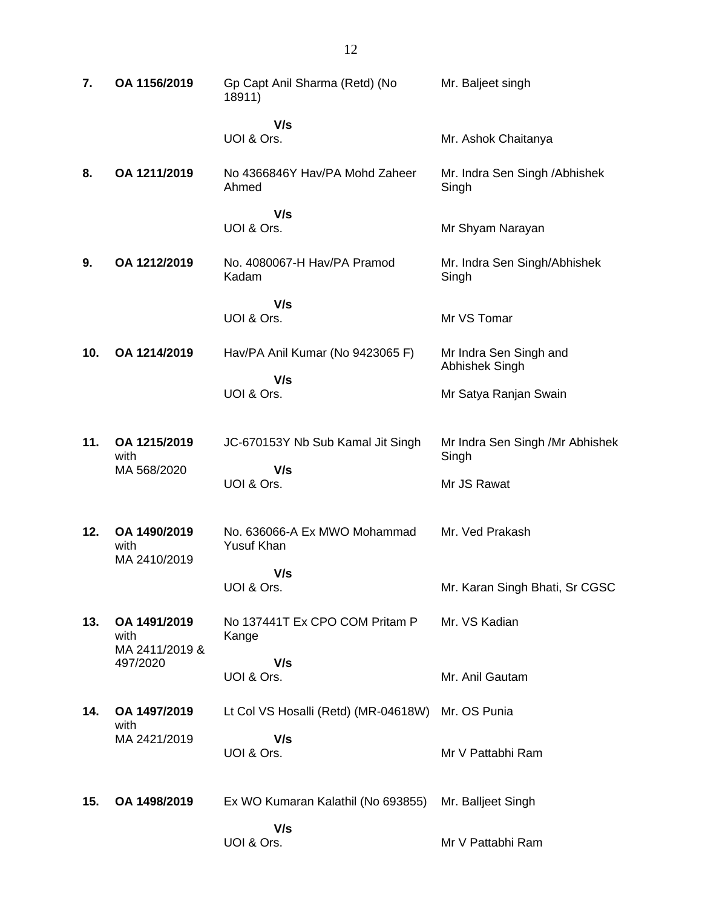| 7.  | OA 1156/2019                           | Gp Capt Anil Sharma (Retd) (No<br>18911)   | Mr. Baljeet singh                        |
|-----|----------------------------------------|--------------------------------------------|------------------------------------------|
|     |                                        | V/s<br>UOI & Ors.                          | Mr. Ashok Chaitanya                      |
| 8.  | OA 1211/2019                           | No 4366846Y Hav/PA Mohd Zaheer<br>Ahmed    | Mr. Indra Sen Singh / Abhishek<br>Singh  |
|     |                                        | V/s                                        |                                          |
|     |                                        | UOI & Ors.                                 | Mr Shyam Narayan                         |
| 9.  | OA 1212/2019                           | No. 4080067-H Hav/PA Pramod<br>Kadam       | Mr. Indra Sen Singh/Abhishek<br>Singh    |
|     |                                        | V/s                                        |                                          |
|     |                                        | UOI & Ors.                                 | Mr VS Tomar                              |
| 10. | OA 1214/2019                           | Hav/PA Anil Kumar (No 9423065 F)           | Mr Indra Sen Singh and<br>Abhishek Singh |
|     |                                        | V/s<br>UOI & Ors.                          | Mr Satya Ranjan Swain                    |
|     |                                        |                                            |                                          |
| 11. | OA 1215/2019<br>with                   | JC-670153Y Nb Sub Kamal Jit Singh          | Mr Indra Sen Singh /Mr Abhishek<br>Singh |
|     | MA 568/2020                            | V/s<br>UOI & Ors.                          | Mr JS Rawat                              |
|     |                                        |                                            |                                          |
| 12. | OA 1490/2019<br>with<br>MA 2410/2019   | No. 636066-A Ex MWO Mohammad<br>Yusuf Khan | Mr. Ved Prakash                          |
|     |                                        | V/s                                        |                                          |
|     |                                        | UOI & Ors.                                 | Mr. Karan Singh Bhati, Sr CGSC           |
| 13. | OA 1491/2019<br>with<br>MA 2411/2019 & | No 137441T Ex CPO COM Pritam P<br>Kange    | Mr. VS Kadian                            |
|     | 497/2020                               | V/s                                        |                                          |
|     |                                        | UOI & Ors.                                 | Mr. Anil Gautam                          |
| 14. | OA 1497/2019<br>with                   | Lt Col VS Hosalli (Retd) (MR-04618W)       | Mr. OS Punia                             |
|     | MA 2421/2019                           | V/s<br>UOI & Ors.                          | Mr V Pattabhi Ram                        |
|     |                                        |                                            |                                          |
| 15. | OA 1498/2019                           | Ex WO Kumaran Kalathil (No 693855)         | Mr. Balljeet Singh                       |
|     |                                        | V/s<br>UOI & Ors.                          | Mr V Pattabhi Ram                        |
|     |                                        |                                            |                                          |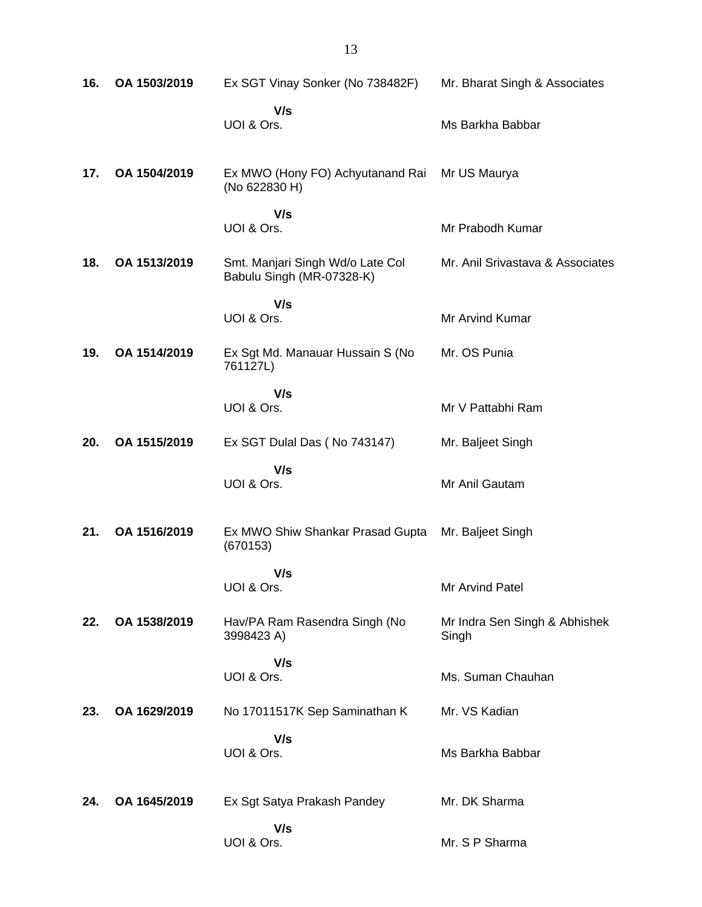| 16. | OA 1503/2019 | Ex SGT Vinay Sonker (No 738482F)                              | Mr. Bharat Singh & Associates          |
|-----|--------------|---------------------------------------------------------------|----------------------------------------|
|     |              | V/s<br>UOI & Ors.                                             | Ms Barkha Babbar                       |
| 17. | OA 1504/2019 | Ex MWO (Hony FO) Achyutanand Rai<br>(No 622830 H)             | Mr US Maurya                           |
|     |              | V/s<br>UOI & Ors.                                             | Mr Prabodh Kumar                       |
| 18. | OA 1513/2019 | Smt. Manjari Singh Wd/o Late Col<br>Babulu Singh (MR-07328-K) | Mr. Anil Srivastava & Associates       |
|     |              | V/s<br>UOI & Ors.                                             | Mr Arvind Kumar                        |
| 19. | OA 1514/2019 | Ex Sgt Md. Manauar Hussain S (No<br>761127L)                  | Mr. OS Punia                           |
|     |              | V/s<br>UOI & Ors.                                             | Mr V Pattabhi Ram                      |
| 20. | OA 1515/2019 | Ex SGT Dulal Das (No 743147)                                  | Mr. Baljeet Singh                      |
|     |              | V/s<br>UOI & Ors.                                             | Mr Anil Gautam                         |
| 21. | OA 1516/2019 | Ex MWO Shiw Shankar Prasad Gupta<br>(670153)                  | Mr. Baljeet Singh                      |
|     |              | V/s<br>UOI & Ors.                                             | Mr Arvind Patel                        |
| 22. | OA 1538/2019 | Hav/PA Ram Rasendra Singh (No<br>3998423 A)                   | Mr Indra Sen Singh & Abhishek<br>Singh |
|     |              | V/s<br>UOI & Ors.                                             | Ms. Suman Chauhan                      |
| 23. | OA 1629/2019 | No 17011517K Sep Saminathan K                                 | Mr. VS Kadian                          |
|     |              | V/s<br>UOI & Ors.                                             | Ms Barkha Babbar                       |
| 24. | OA 1645/2019 | Ex Sgt Satya Prakash Pandey                                   | Mr. DK Sharma                          |
|     |              | V/s<br>UOI & Ors.                                             | Mr. S P Sharma                         |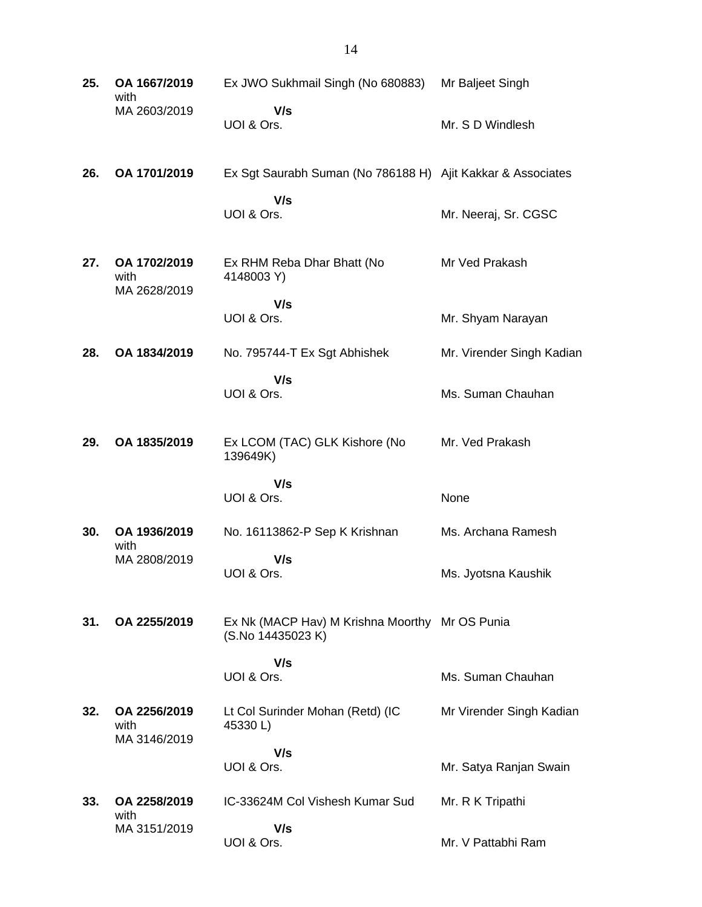| 25. | OA 1667/2019<br>with                 | Ex JWO Sukhmail Singh (No 680883)                                   | Mr Baljeet Singh          |
|-----|--------------------------------------|---------------------------------------------------------------------|---------------------------|
|     | MA 2603/2019                         | V/s<br>UOI & Ors.                                                   | Mr. S D Windlesh          |
| 26. | OA 1701/2019                         | Ex Sgt Saurabh Suman (No 786188 H) Ajit Kakkar & Associates         |                           |
|     |                                      | V/s<br>UOI & Ors.                                                   | Mr. Neeraj, Sr. CGSC      |
| 27. | OA 1702/2019<br>with<br>MA 2628/2019 | Ex RHM Reba Dhar Bhatt (No<br>4148003 Y)                            | Mr Ved Prakash            |
|     |                                      | V/s<br>UOI & Ors.                                                   | Mr. Shyam Narayan         |
| 28. | OA 1834/2019                         | No. 795744-T Ex Sgt Abhishek                                        | Mr. Virender Singh Kadian |
|     |                                      | V/s<br>UOI & Ors.                                                   | Ms. Suman Chauhan         |
| 29. | OA 1835/2019                         | Ex LCOM (TAC) GLK Kishore (No<br>139649K)                           | Mr. Ved Prakash           |
|     |                                      | V/s<br>UOI & Ors.                                                   | None                      |
| 30. | OA 1936/2019<br>with                 | No. 16113862-P Sep K Krishnan                                       | Ms. Archana Ramesh        |
|     | MA 2808/2019                         | V/s<br>UOI & Ors.                                                   | Ms. Jyotsna Kaushik       |
| 31. | OA 2255/2019                         | Ex Nk (MACP Hav) M Krishna Moorthy Mr OS Punia<br>(S.No 14435023 K) |                           |
|     |                                      | V/s<br>UOI & Ors.                                                   | Ms. Suman Chauhan         |
| 32. | OA 2256/2019<br>with                 | Lt Col Surinder Mohan (Retd) (IC<br>45330L)                         | Mr Virender Singh Kadian  |
|     | MA 3146/2019                         | V/s                                                                 |                           |
|     |                                      | UOI & Ors.                                                          | Mr. Satya Ranjan Swain    |
| 33. | OA 2258/2019<br>with                 | IC-33624M Col Vishesh Kumar Sud                                     | Mr. R K Tripathi          |
|     | MA 3151/2019                         | V/s<br>UOI & Ors.                                                   | Mr. V Pattabhi Ram        |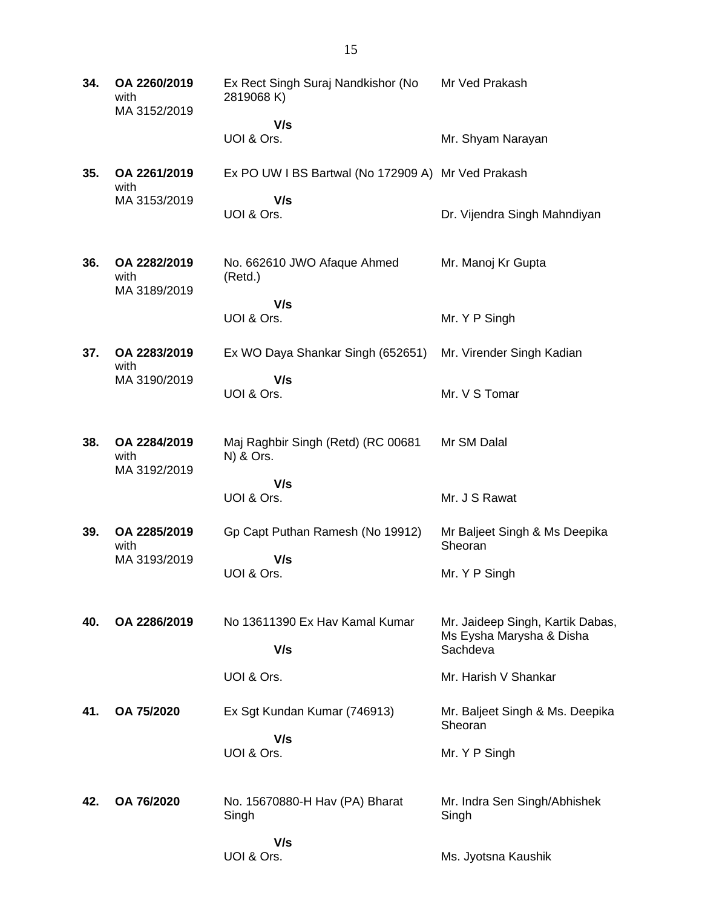**34. OA 2260/2019** with MA 3152/2019 Ex Rect Singh Suraj Nandkishor (No 2819068 K)  **V/s** UOI & Ors. Mr Ved Prakash Mr. Shyam Narayan **35. OA 2261/2019** with MA 3153/2019 Ex PO UW I BS Bartwal (No 172909 A) Mr Ved Prakash  **V/s** UOI & Ors. Dr. Vijendra Singh Mahndiyan **36. OA 2282/2019** with MA 3189/2019 No. 662610 JWO Afaque Ahmed (Retd.)  **V/s** UOI & Ors. Mr. Manoj Kr Gupta Mr. Y P Singh **37. OA 2283/2019** with MA 3190/2019 Ex WO Daya Shankar Singh (652651)  **V/s** UOI & Ors. Mr. Virender Singh Kadian Mr. V S Tomar **38. OA 2284/2019** with MA 3192/2019 Maj Raghbir Singh (Retd) (RC 00681 N) & Ors.  **V/s** UOI & Ors. Mr SM Dalal Mr. J S Rawat **39. OA 2285/2019** with MA 3193/2019 Gp Capt Puthan Ramesh (No 19912)  **V/s** UOI & Ors. Mr Baljeet Singh & Ms Deepika **Sheoran** Mr. Y P Singh **40. OA 2286/2019** No 13611390 Ex Hav Kamal Kumar  **V/s** UOI & Ors. Mr. Jaideep Singh, Kartik Dabas, Ms Eysha Marysha & Disha **Sachdeva** Mr. Harish V Shankar **41. OA 75/2020** Ex Sgt Kundan Kumar (746913)  **V/s** UOI & Ors. Mr. Baljeet Singh & Ms. Deepika **Sheoran** Mr. Y P Singh **42. OA 76/2020** No. 15670880-H Hav (PA) Bharat Singh  **V/s** UOI & Ors. Mr. Indra Sen Singh/Abhishek Singh Ms. Jyotsna Kaushik